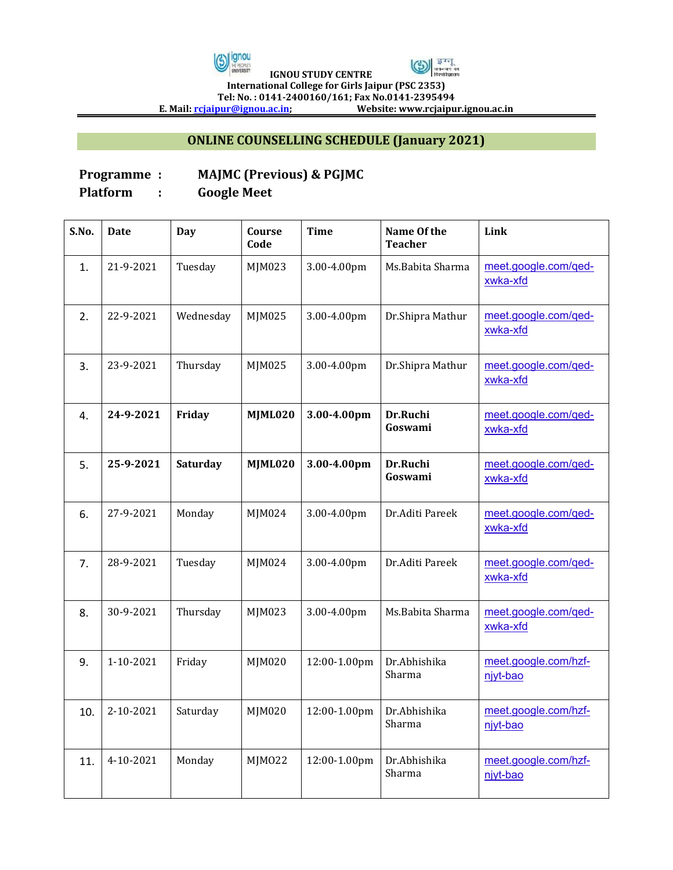



 **IGNOU STUDY CENTRE International College for Girls Jaipur (PSC 2353) Tel: No. : 0141-2400160/161; Fax No.0141-2395494**

**E. Mail: rcjaipur@ignou.ac.in; Website: www.rcjaipur.ignou.ac.in**

## **ONLINE COUNSELLING SCHEDULE (January 2021)**

## **Programme : MAJMC (Previous) & PGJMC**

**Platform : Google Meet**

| S.No. | <b>Date</b> | <b>Day</b> | Course<br>Code | <b>Time</b>  | Name Of the<br><b>Teacher</b> | Link                             |
|-------|-------------|------------|----------------|--------------|-------------------------------|----------------------------------|
| 1.    | 21-9-2021   | Tuesday    | MJM023         | 3.00-4.00pm  | Ms.Babita Sharma              | meet.google.com/ged-<br>xwka-xfd |
| 2.    | 22-9-2021   | Wednesday  | MJM025         | 3.00-4.00pm  | Dr.Shipra Mathur              | meet.google.com/ged-<br>xwka-xfd |
| 3.    | 23-9-2021   | Thursday   | MJM025         | 3.00-4.00pm  | Dr.Shipra Mathur              | meet.google.com/ged-<br>xwka-xfd |
| 4.    | 24-9-2021   | Friday     | MJML020        | 3.00-4.00pm  | Dr.Ruchi<br>Goswami           | meet.google.com/ged-<br>xwka-xfd |
| 5.    | 25-9-2021   | Saturday   | MJML020        | 3.00-4.00pm  | Dr.Ruchi<br>Goswami           | meet.google.com/ged-<br>xwka-xfd |
| 6.    | 27-9-2021   | Monday     | MJM024         | 3.00-4.00pm  | Dr.Aditi Pareek               | meet.google.com/ged-<br>xwka-xfd |
| 7.    | 28-9-2021   | Tuesday    | MJM024         | 3.00-4.00pm  | Dr.Aditi Pareek               | meet.google.com/ged-<br>xwka-xfd |
| 8.    | 30-9-2021   | Thursday   | MJM023         | 3.00-4.00pm  | Ms.Babita Sharma              | meet.google.com/qed-<br>xwka-xfd |
| 9.    | 1-10-2021   | Friday     | MJM020         | 12:00-1.00pm | Dr.Abhishika<br>Sharma        | meet.google.com/hzf-<br>njyt-bao |
| 10.   | 2-10-2021   | Saturday   | MJM020         | 12:00-1.00pm | Dr. Abhishika<br>Sharma       | meet.google.com/hzf-<br>njyt-bao |
| 11.   | 4-10-2021   | Monday     | MJM022         | 12:00-1.00pm | Dr.Abhishika<br>Sharma        | meet.google.com/hzf-<br>niyt-bao |